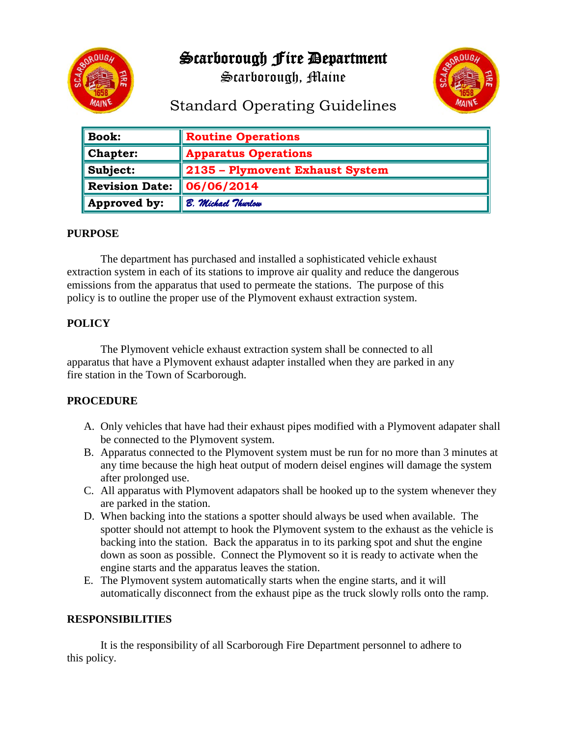

Scarborough Fire Department

Scarborough, Maine



# Standard Operating Guidelines

| <b>Book:</b>          | <b>Routine Operations</b>       |
|-----------------------|---------------------------------|
| <b>Chapter:</b>       | <b>Apparatus Operations</b>     |
| Subject:              | 2135 - Plymovent Exhaust System |
| <b>Revision Date:</b> | 06/06/2014                      |
| Approved by:          | B. Michael Thurlow              |

#### **PURPOSE**

The department has purchased and installed a sophisticated vehicle exhaust extraction system in each of its stations to improve air quality and reduce the dangerous emissions from the apparatus that used to permeate the stations. The purpose of this policy is to outline the proper use of the Plymovent exhaust extraction system.

## **POLICY**

The Plymovent vehicle exhaust extraction system shall be connected to all apparatus that have a Plymovent exhaust adapter installed when they are parked in any fire station in the Town of Scarborough.

## **PROCEDURE**

- A. Only vehicles that have had their exhaust pipes modified with a Plymovent adapater shall be connected to the Plymovent system.
- B. Apparatus connected to the Plymovent system must be run for no more than 3 minutes at any time because the high heat output of modern deisel engines will damage the system after prolonged use.
- C. All apparatus with Plymovent adapators shall be hooked up to the system whenever they are parked in the station.
- D. When backing into the stations a spotter should always be used when available. The spotter should not attempt to hook the Plymovent system to the exhaust as the vehicle is backing into the station. Back the apparatus in to its parking spot and shut the engine down as soon as possible. Connect the Plymovent so it is ready to activate when the engine starts and the apparatus leaves the station.
- E. The Plymovent system automatically starts when the engine starts, and it will automatically disconnect from the exhaust pipe as the truck slowly rolls onto the ramp.

#### **RESPONSIBILITIES**

It is the responsibility of all Scarborough Fire Department personnel to adhere to this policy.